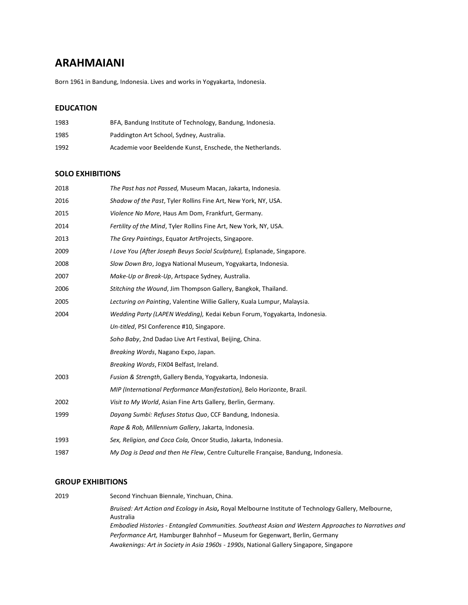# **ARAHMAIANI**

Born 1961 in Bandung, Indonesia. Lives and works in Yogyakarta, Indonesia.

## **EDUCATION**

| 1983 | BFA, Bandung Institute of Technology, Bandung, Indonesia. |
|------|-----------------------------------------------------------|
| 1985 | Paddington Art School, Sydney, Australia.                 |
| 1992 | Academie voor Beeldende Kunst, Enschede, the Netherlands. |

## **SOLO EXHIBITIONS**

| 2018 | The Past has not Passed, Museum Macan, Jakarta, Indonesia.                        |
|------|-----------------------------------------------------------------------------------|
| 2016 | Shadow of the Past, Tyler Rollins Fine Art, New York, NY, USA.                    |
| 2015 | Violence No More, Haus Am Dom, Frankfurt, Germany.                                |
| 2014 | Fertility of the Mind, Tyler Rollins Fine Art, New York, NY, USA.                 |
| 2013 | The Grey Paintings, Equator ArtProjects, Singapore.                               |
| 2009 | I Love You (After Joseph Beuys Social Sculpture), Esplanade, Singapore.           |
| 2008 | Slow Down Bro, Jogya National Museum, Yogyakarta, Indonesia.                      |
| 2007 | Make-Up or Break-Up, Artspace Sydney, Australia.                                  |
| 2006 | Stitching the Wound, Jim Thompson Gallery, Bangkok, Thailand.                     |
| 2005 | Lecturing on Painting, Valentine Willie Gallery, Kuala Lumpur, Malaysia.          |
| 2004 | Wedding Party (LAPEN Wedding), Kedai Kebun Forum, Yogyakarta, Indonesia.          |
|      | Un-titled, PSI Conference #10, Singapore.                                         |
|      | Soho Baby, 2nd Dadao Live Art Festival, Beijing, China.                           |
|      | Breaking Words, Nagano Expo, Japan.                                               |
|      | Breaking Words, FIX04 Belfast, Ireland.                                           |
| 2003 | Fusion & Strength, Gallery Benda, Yogyakarta, Indonesia.                          |
|      | MIP (International Performance Manifestation), Belo Horizonte, Brazil.            |
| 2002 | Visit to My World, Asian Fine Arts Gallery, Berlin, Germany.                      |
| 1999 | Dayang Sumbi: Refuses Status Quo, CCF Bandung, Indonesia.                         |
|      | Rape & Rob, Millennium Gallery, Jakarta, Indonesia.                               |
| 1993 | Sex, Religion, and Coca Cola, Oncor Studio, Jakarta, Indonesia.                   |
| 1987 | My Dog is Dead and then He Flew, Centre Culturelle Française, Bandung, Indonesia. |

### **GROUP EXHIBITIONS**

| 2019 | Second Yinchuan Biennale, Yinchuan, China.                                                                        |
|------|-------------------------------------------------------------------------------------------------------------------|
|      | Bruised: Art Action and Ecology in Asia, Royal Melbourne Institute of Technology Gallery, Melbourne,<br>Australia |
|      | Embodied Histories - Entangled Communities. Southeast Asian and Western Approaches to Narratives and              |
|      | Performance Art, Hamburger Bahnhof - Museum for Gegenwart, Berlin, Germany                                        |
|      | Awakenings: Art in Society in Asia 1960s - 1990s, National Gallery Singapore, Singapore                           |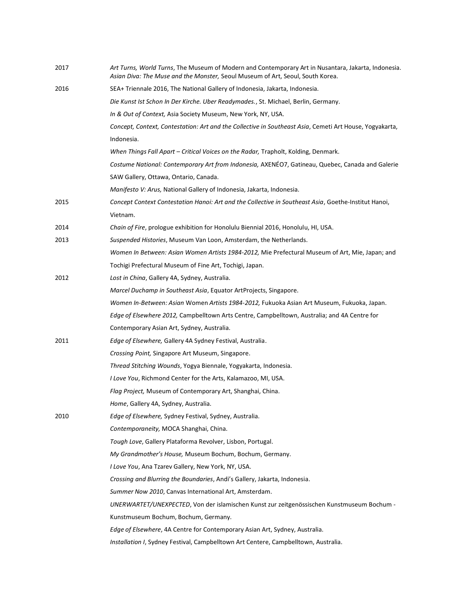| 2017 | Art Turns, World Turns, The Museum of Modern and Contemporary Art in Nusantara, Jakarta, Indonesia.<br>Asian Diva: The Muse and the Monster, Seoul Museum of Art, Seoul, South Korea. |
|------|---------------------------------------------------------------------------------------------------------------------------------------------------------------------------------------|
| 2016 | SEA+ Triennale 2016, The National Gallery of Indonesia, Jakarta, Indonesia.                                                                                                           |
|      | Die Kunst Ist Schon In Der Kirche. Über Readymades., St. Michael, Berlin, Germany.                                                                                                    |
|      | In & Out of Context, Asia Society Museum, New York, NY, USA.                                                                                                                          |
|      | Concept, Context, Contestation: Art and the Collective in Southeast Asia, Cemeti Art House, Yogyakarta,                                                                               |
|      | Indonesia.                                                                                                                                                                            |
|      | When Things Fall Apart - Critical Voices on the Radar, Trapholt, Kolding, Denmark.                                                                                                    |
|      | Costume National: Contemporary Art from Indonesia, AXENÉO7, Gatineau, Quebec, Canada and Galerie                                                                                      |
|      | SAW Gallery, Ottawa, Ontario, Canada.                                                                                                                                                 |
|      | Manifesto V: Arus, National Gallery of Indonesia, Jakarta, Indonesia.                                                                                                                 |
| 2015 | Concept Context Contestation Hanoi: Art and the Collective in Southeast Asia, Goethe-Institut Hanoi,                                                                                  |
|      | Vietnam.                                                                                                                                                                              |
| 2014 | Chain of Fire, prologue exhibition for Honolulu Biennial 2016, Honolulu, HI, USA.                                                                                                     |
| 2013 | Suspended Histories, Museum Van Loon, Amsterdam, the Netherlands.                                                                                                                     |
|      | Women In Between: Asian Women Artists 1984-2012, Mie Prefectural Museum of Art, Mie, Japan; and                                                                                       |
|      | Tochigi Prefectural Museum of Fine Art, Tochigi, Japan.                                                                                                                               |
| 2012 | Lost in China, Gallery 4A, Sydney, Australia.                                                                                                                                         |
|      | Marcel Duchamp in Southeast Asia, Equator ArtProjects, Singapore.                                                                                                                     |
|      | Women In-Between: Asian Women Artists 1984-2012, Fukuoka Asian Art Museum, Fukuoka, Japan.                                                                                            |
|      | Edge of Elsewhere 2012, Campbelltown Arts Centre, Campbelltown, Australia; and 4A Centre for                                                                                          |
|      | Contemporary Asian Art, Sydney, Australia.                                                                                                                                            |
| 2011 | Edge of Elsewhere, Gallery 4A Sydney Festival, Australia.                                                                                                                             |
|      | Crossing Point, Singapore Art Museum, Singapore.                                                                                                                                      |
|      | Thread Stitching Wounds, Yogya Biennale, Yogyakarta, Indonesia.                                                                                                                       |
|      | I Love You, Richmond Center for the Arts, Kalamazoo, MI, USA.                                                                                                                         |
|      | Flag Project, Museum of Contemporary Art, Shanghai, China.                                                                                                                            |
|      | Home, Gallery 4A, Sydney, Australia.                                                                                                                                                  |
| 2010 | Edge of Elsewhere, Sydney Festival, Sydney, Australia.                                                                                                                                |
|      | Contemporaneity, MOCA Shanghai, China.                                                                                                                                                |
|      | Tough Love, Gallery Plataforma Revolver, Lisbon, Portugal.                                                                                                                            |
|      | My Grandmother's House, Museum Bochum, Bochum, Germany.                                                                                                                               |
|      | I Love You, Ana Tzarev Gallery, New York, NY, USA.                                                                                                                                    |
|      | Crossing and Blurring the Boundaries, Andi's Gallery, Jakarta, Indonesia.                                                                                                             |
|      | Summer Now 2010, Canvas International Art, Amsterdam.                                                                                                                                 |
|      | UNERWARTET/UNEXPECTED, Von der islamischen Kunst zur zeitgenössischen Kunstmuseum Bochum -                                                                                            |
|      | Kunstmuseum Bochum, Bochum, Germany.                                                                                                                                                  |
|      | Edge of Elsewhere, 4A Centre for Contemporary Asian Art, Sydney, Australia.                                                                                                           |
|      | Installation I, Sydney Festival, Campbelltown Art Centere, Campbelltown, Australia.                                                                                                   |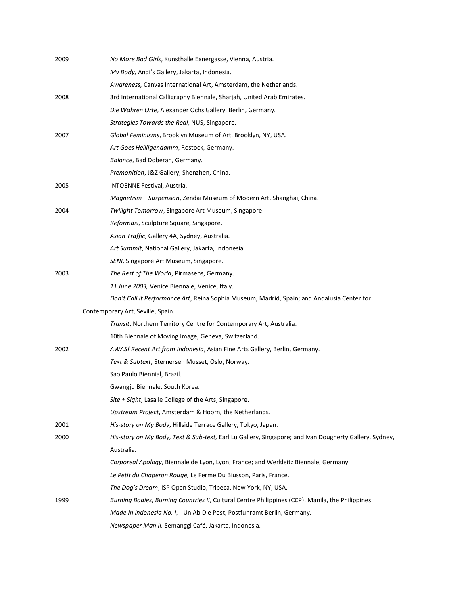| 2009 | No More Bad Girls, Kunsthalle Exnergasse, Vienna, Austria.                                             |
|------|--------------------------------------------------------------------------------------------------------|
|      | My Body, Andi's Gallery, Jakarta, Indonesia.                                                           |
|      | Awareness, Canvas International Art, Amsterdam, the Netherlands.                                       |
| 2008 | 3rd International Calligraphy Biennale, Sharjah, United Arab Emirates.                                 |
|      | Die Wahren Orte, Alexander Ochs Gallery, Berlin, Germany.                                              |
|      | Strategies Towards the Real, NUS, Singapore.                                                           |
| 2007 | Global Feminisms, Brooklyn Museum of Art, Brooklyn, NY, USA.                                           |
|      | Art Goes Heilligendamm, Rostock, Germany.                                                              |
|      | Balance, Bad Doberan, Germany.                                                                         |
|      | Premonition, J&Z Gallery, Shenzhen, China.                                                             |
| 2005 | INTOENNE Festival, Austria.                                                                            |
|      | Magnetism - Suspension, Zendai Museum of Modern Art, Shanghai, China.                                  |
| 2004 | Twilight Tomorrow, Singapore Art Museum, Singapore.                                                    |
|      | Reformasi, Sculpture Square, Singapore.                                                                |
|      | Asian Traffic, Gallery 4A, Sydney, Australia.                                                          |
|      | Art Summit, National Gallery, Jakarta, Indonesia.                                                      |
|      | SENI, Singapore Art Museum, Singapore.                                                                 |
| 2003 | The Rest of The World, Pirmasens, Germany.                                                             |
|      | 11 June 2003, Venice Biennale, Venice, Italy.                                                          |
|      | Don't Call it Performance Art, Reina Sophia Museum, Madrid, Spain; and Andalusia Center for            |
|      | Contemporary Art, Seville, Spain.                                                                      |
|      | Transit, Northern Territory Centre for Contemporary Art, Australia.                                    |
|      | 10th Biennale of Moving Image, Geneva, Switzerland.                                                    |
| 2002 | AWAS! Recent Art from Indonesia, Asian Fine Arts Gallery, Berlin, Germany.                             |
|      | Text & Subtext, Sternersen Musset, Oslo, Norway.                                                       |
|      | Sao Paulo Biennial, Brazil.                                                                            |
|      | Gwangju Biennale, South Korea.                                                                         |
|      | Site + Sight, Lasalle College of the Arts, Singapore.                                                  |
|      | Upstream Project, Amsterdam & Hoorn, the Netherlands.                                                  |
| 2001 | His-story on My Body, Hillside Terrace Gallery, Tokyo, Japan.                                          |
| 2000 | His-story on My Body, Text & Sub-text, Earl Lu Gallery, Singapore; and Ivan Dougherty Gallery, Sydney, |
|      | Australia.                                                                                             |
|      | Corporeal Apology, Biennale de Lyon, Lyon, France; and Werkleitz Biennale, Germany.                    |
|      | Le Petit du Chaperon Rouge, Le Ferme Du Biusson, Paris, France.                                        |
|      | The Dog's Dream, ISP Open Studio, Tribeca, New York, NY, USA.                                          |
| 1999 | Burning Bodies, Burning Countries II, Cultural Centre Philippines (CCP), Manila, the Philippines.      |
|      | Made In Indonesia No. I, - Un Ab Die Post, Postfuhramt Berlin, Germany.                                |
|      | Newspaper Man II, Semanggi Café, Jakarta, Indonesia.                                                   |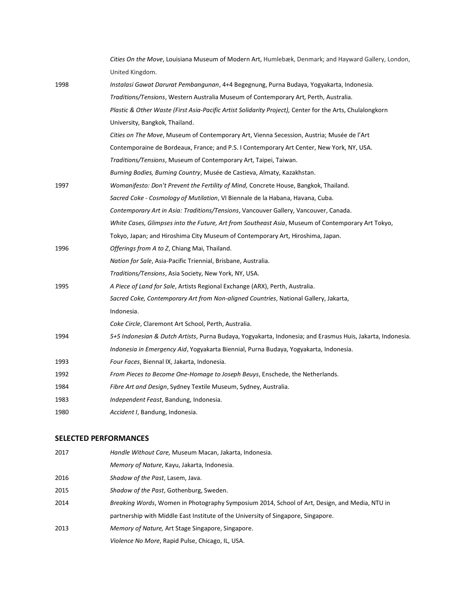|      | Cities On the Move, Louisiana Museum of Modern Art, Humlebæk, Denmark; and Hayward Gallery, London,        |
|------|------------------------------------------------------------------------------------------------------------|
|      | United Kingdom.                                                                                            |
| 1998 | Instalasi Gawat Darurat Pembangunan, 4+4 Begegnung, Purna Budaya, Yogyakarta, Indonesia.                   |
|      | Traditions/Tensions, Western Australia Museum of Contemporary Art, Perth, Australia.                       |
|      | Plastic & Other Waste (First Asia-Pacific Artist Solidarity Project), Center for the Arts, Chulalongkorn   |
|      | University, Bangkok, Thailand.                                                                             |
|      | Cities on The Move, Museum of Contemporary Art, Vienna Secession, Austria; Musée de l'Art                  |
|      | Contemporaine de Bordeaux, France; and P.S. I Contemporary Art Center, New York, NY, USA.                  |
|      | Traditions/Tensions, Museum of Contemporary Art, Taipei, Taiwan.                                           |
|      | Burning Bodies, Burning Country, Musée de Castieva, Almaty, Kazakhstan.                                    |
| 1997 | Womanifesto: Don't Prevent the Fertility of Mind, Concrete House, Bangkok, Thailand.                       |
|      | Sacred Coke - Cosmology of Mutilation, VI Biennale de la Habana, Havana, Cuba.                             |
|      | Contemporary Art in Asia: Traditions/Tensions, Vancouver Gallery, Vancouver, Canada.                       |
|      | White Cases, Glimpses into the Future, Art from Southeast Asia, Museum of Contemporary Art Tokyo,          |
|      | Tokyo, Japan; and Hiroshima City Museum of Contemporary Art, Hiroshima, Japan.                             |
| 1996 | Offerings from A to Z, Chiang Mai, Thailand.                                                               |
|      | Nation for Sale, Asia-Pacific Triennial, Brisbane, Australia.                                              |
|      | Traditions/Tensions, Asia Society, New York, NY, USA.                                                      |
| 1995 | A Piece of Land for Sale, Artists Regional Exchange (ARX), Perth, Australia.                               |
|      | Sacred Coke, Contemporary Art from Non-aligned Countries, National Gallery, Jakarta,                       |
|      | Indonesia.                                                                                                 |
|      | Coke Circle, Claremont Art School, Perth, Australia.                                                       |
| 1994 | 5+5 Indonesian & Dutch Artists, Purna Budaya, Yogyakarta, Indonesia; and Erasmus Huis, Jakarta, Indonesia. |
|      | Indonesia in Emergency Aid, Yogyakarta Biennial, Purna Budaya, Yogyakarta, Indonesia.                      |
| 1993 | Four Faces, Biennal IX, Jakarta, Indonesia.                                                                |
| 1992 | From Pieces to Become One-Homage to Joseph Beuys, Enschede, the Netherlands.                               |
| 1984 | Fibre Art and Design, Sydney Textile Museum, Sydney, Australia.                                            |
| 1983 | Independent Feast, Bandung, Indonesia.                                                                     |
| 1980 | Accident I, Bandung, Indonesia.                                                                            |

#### **SELECTED PERFORMANCES**

| 2017 | Handle Without Care, Museum Macan, Jakarta, Indonesia.                                        |
|------|-----------------------------------------------------------------------------------------------|
|      | Memory of Nature, Kayu, Jakarta, Indonesia.                                                   |
| 2016 | Shadow of the Past, Lasem, Java.                                                              |
| 2015 | Shadow of the Past, Gothenburg, Sweden.                                                       |
| 2014 | Breaking Words, Women in Photography Symposium 2014, School of Art, Design, and Media, NTU in |
|      | partnership with Middle East Institute of the University of Singapore, Singapore.             |
| 2013 | Memory of Nature, Art Stage Singapore, Singapore.                                             |
|      | Violence No More, Rapid Pulse, Chicago, IL, USA.                                              |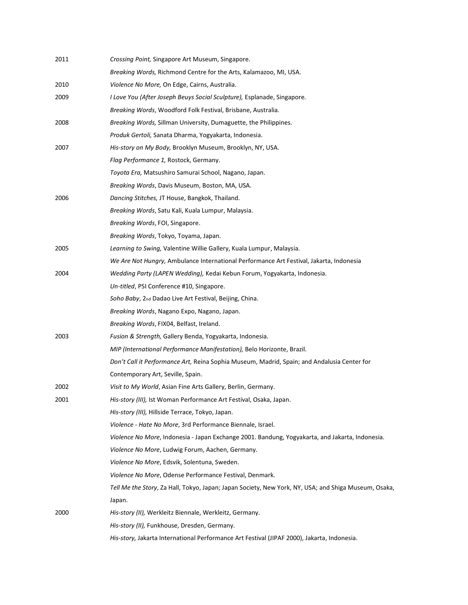| 2011 | Crossing Point, Singapore Art Museum, Singapore.                                                     |
|------|------------------------------------------------------------------------------------------------------|
|      | Breaking Words, Richmond Centre for the Arts, Kalamazoo, MI, USA.                                    |
| 2010 | Violence No More, On Edge, Cairns, Australia.                                                        |
| 2009 | I Love You (After Joseph Beuys Social Sculpture), Esplanade, Singapore.                              |
|      | Breaking Words, Woodford Folk Festival, Brisbane, Australia.                                         |
| 2008 | Breaking Words, Sillman University, Dumaguette, the Philippines.                                     |
|      | Produk Gertoli, Sanata Dharma, Yogyakarta, Indonesia.                                                |
| 2007 | His-story on My Body, Brooklyn Museum, Brooklyn, NY, USA.                                            |
|      | Flag Performance 1, Rostock, Germany.                                                                |
|      | Toyota Era, Matsushiro Samurai School, Nagano, Japan.                                                |
|      | Breaking Words, Davis Museum, Boston, MA, USA.                                                       |
| 2006 | Dancing Stitches, JT House, Bangkok, Thailand.                                                       |
|      | Breaking Words, Satu Kali, Kuala Lumpur, Malaysia.                                                   |
|      | Breaking Words, FOI, Singapore.                                                                      |
|      | Breaking Words, Tokyo, Toyama, Japan.                                                                |
| 2005 | Learning to Swing, Valentine Willie Gallery, Kuala Lumpur, Malaysia.                                 |
|      | We Are Not Hungry, Ambulance International Performance Art Festival, Jakarta, Indonesia              |
| 2004 | Wedding Party (LAPEN Wedding), Kedai Kebun Forum, Yogyakarta, Indonesia.                             |
|      | Un-titled, PSI Conference #10, Singapore.                                                            |
|      | Soho Baby, 2nd Dadao Live Art Festival, Beijing, China.                                              |
|      | Breaking Words, Nagano Expo, Nagano, Japan.                                                          |
|      | Breaking Words, FIX04, Belfast, Ireland.                                                             |
| 2003 | Fusion & Strength, Gallery Benda, Yogyakarta, Indonesia.                                             |
|      | MIP (International Performance Manifestation), Belo Horizonte, Brazil.                               |
|      | Don't Call it Performance Art, Reina Sophia Museum, Madrid, Spain; and Andalusia Center for          |
|      | Contemporary Art, Seville, Spain.                                                                    |
| 2002 | Visit to My World, Asian Fine Arts Gallery, Berlin, Germany.                                         |
| 2001 | His-story (III), Ist Woman Performance Art Festival, Osaka, Japan.                                   |
|      | His-story (III), Hillside Terrace, Tokyo, Japan.                                                     |
|      | Violence - Hate No More, 3rd Performance Biennale, Israel.                                           |
|      | Violence No More, Indonesia - Japan Exchange 2001. Bandung, Yogyakarta, and Jakarta, Indonesia.      |
|      | Violence No More, Ludwig Forum, Aachen, Germany.                                                     |
|      | Violence No More, Edsvik, Solentuna, Sweden.                                                         |
|      | Violence No More, Odense Performance Festival, Denmark.                                              |
|      | Tell Me the Story, Za Hall, Tokyo, Japan; Japan Society, New York, NY, USA; and Shiga Museum, Osaka, |
|      | Japan.                                                                                               |
| 2000 | His-story (II), Werkleitz Biennale, Werkleitz, Germany.                                              |
|      | His-story (II), Funkhouse, Dresden, Germany.                                                         |
|      | His-story, Jakarta International Performance Art Festival (JIPAF 2000), Jakarta, Indonesia.          |